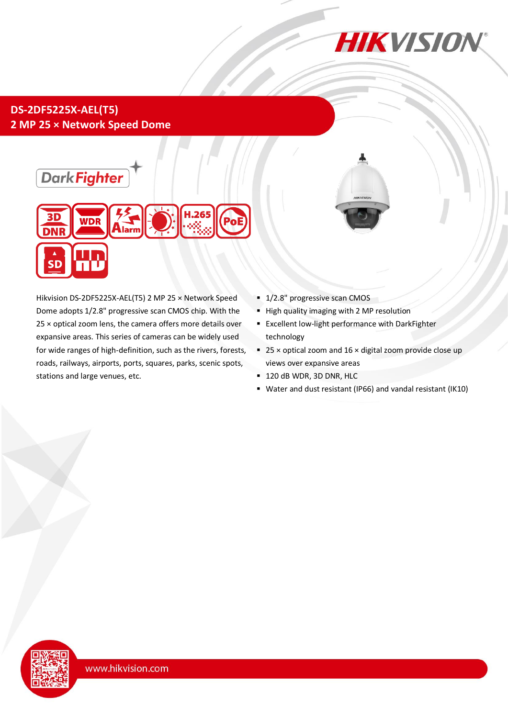

## **DS-2DF5225X-AEL(T5) 2 MP 25 × Network Speed Dome**



Hikvision DS-2DF5225X-AEL(T5) 2 MP 25 × Network Speed Dome adopts 1/2.8" progressive scan CMOS chip. With the 25 × optical zoom lens, the camera offers more details over expansive areas. This series of cameras can be widely used for wide ranges of high-definition, such as the rivers, forests, roads, railways, airports, ports, squares, parks, scenic spots, stations and large venues, etc.

- <sup>1</sup>/2.8" progressive scan CMOS
- **High quality imaging with 2 MP resolution**
- **Excellent low-light performance with DarkFighter** technology
- $\overline{25}$  × optical zoom and 16 × digital zoom provide close up views over expansive areas
- **120 dB WDR, 3D DNR, HLC**
- Water and dust resistant (IP66) and vandal resistant (IK10)

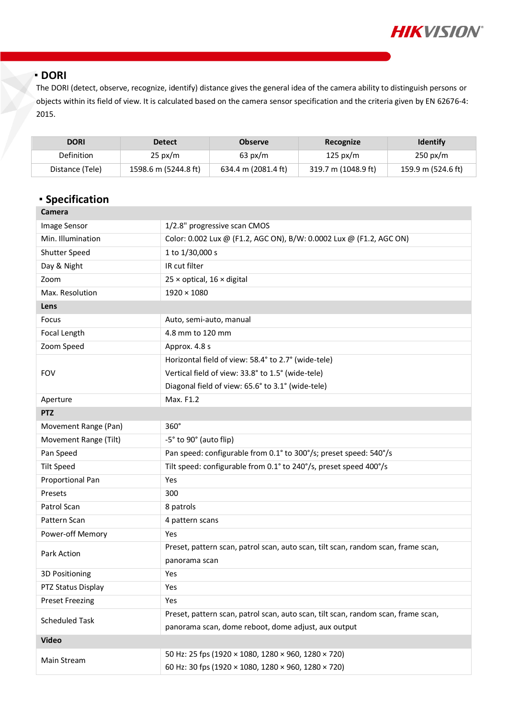

#### **DORI**

The DORI (detect, observe, recognize, identify) distance gives the general idea of the camera ability to distinguish persons or objects within its field of view. It is calculated based on the camera sensor specification and the criteria given by EN 62676-4: 2015.

| <b>DORI</b>       | <b>Detect</b>        | <b>Observe</b>      | Recognize           | <b>Identify</b>    |
|-------------------|----------------------|---------------------|---------------------|--------------------|
| <b>Definition</b> | $25 \text{ px/m}$    | $63 \text{ px/m}$   | 125 px/m            | $250 \text{ px/m}$ |
| Distance (Tele)   | 1598.6 m (5244.8 ft) | 634.4 m (2081.4 ft) | 319.7 m (1048.9 ft) | 159.9 m (524.6 ft) |

## **Specification**

| <b>Camera</b>          |                                                                                   |  |  |  |
|------------------------|-----------------------------------------------------------------------------------|--|--|--|
| Image Sensor           | 1/2.8" progressive scan CMOS                                                      |  |  |  |
| Min. Illumination      | Color: 0.002 Lux @ (F1.2, AGC ON), B/W: 0.0002 Lux @ (F1.2, AGC ON)               |  |  |  |
| Shutter Speed          | 1 to 1/30,000 s                                                                   |  |  |  |
| Day & Night            | IR cut filter                                                                     |  |  |  |
| Zoom                   | $25 \times$ optical, $16 \times$ digital                                          |  |  |  |
| Max. Resolution        | $1920 \times 1080$                                                                |  |  |  |
| Lens                   |                                                                                   |  |  |  |
| Focus                  | Auto, semi-auto, manual                                                           |  |  |  |
| Focal Length           | 4.8 mm to 120 mm                                                                  |  |  |  |
| Zoom Speed             | Approx. 4.8 s                                                                     |  |  |  |
|                        | Horizontal field of view: 58.4° to 2.7° (wide-tele)                               |  |  |  |
| <b>FOV</b>             | Vertical field of view: 33.8° to 1.5° (wide-tele)                                 |  |  |  |
|                        | Diagonal field of view: 65.6° to 3.1° (wide-tele)                                 |  |  |  |
| Aperture               | Max. F1.2                                                                         |  |  |  |
| <b>PTZ</b>             |                                                                                   |  |  |  |
| Movement Range (Pan)   | $360^\circ$                                                                       |  |  |  |
| Movement Range (Tilt)  | -5° to 90° (auto flip)                                                            |  |  |  |
| Pan Speed              | Pan speed: configurable from 0.1° to 300°/s; preset speed: 540°/s                 |  |  |  |
| <b>Tilt Speed</b>      | Tilt speed: configurable from 0.1° to 240°/s, preset speed 400°/s                 |  |  |  |
| Proportional Pan       | Yes                                                                               |  |  |  |
| Presets                | 300                                                                               |  |  |  |
| Patrol Scan            | 8 patrols                                                                         |  |  |  |
| Pattern Scan           | 4 pattern scans                                                                   |  |  |  |
| Power-off Memory       | <b>Yes</b>                                                                        |  |  |  |
| Park Action            | Preset, pattern scan, patrol scan, auto scan, tilt scan, random scan, frame scan, |  |  |  |
|                        | panorama scan                                                                     |  |  |  |
| 3D Positioning         | Yes                                                                               |  |  |  |
| PTZ Status Display     | Yes                                                                               |  |  |  |
| <b>Preset Freezing</b> | Yes                                                                               |  |  |  |
| <b>Scheduled Task</b>  | Preset, pattern scan, patrol scan, auto scan, tilt scan, random scan, frame scan, |  |  |  |
|                        | panorama scan, dome reboot, dome adjust, aux output                               |  |  |  |
| <b>Video</b>           |                                                                                   |  |  |  |
| Main Stream            | 50 Hz: 25 fps (1920 × 1080, 1280 × 960, 1280 × 720)                               |  |  |  |
|                        | 60 Hz: 30 fps (1920 × 1080, 1280 × 960, 1280 × 720)                               |  |  |  |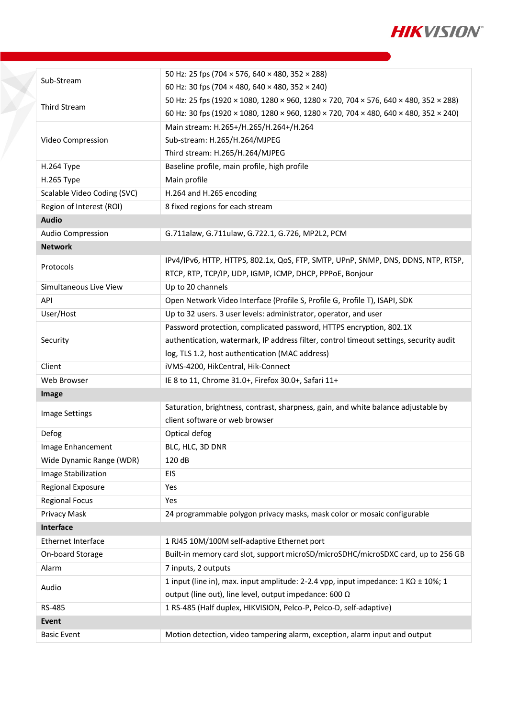

|                             | 50 Hz: 25 fps (704 × 576, 640 × 480, 352 × 288)                                          |  |  |  |
|-----------------------------|------------------------------------------------------------------------------------------|--|--|--|
| Sub-Stream                  | 60 Hz: 30 fps (704 × 480, 640 × 480, 352 × 240)                                          |  |  |  |
| Third Stream                | 50 Hz: 25 fps (1920 × 1080, 1280 × 960, 1280 × 720, 704 × 576, 640 × 480, 352 × 288)     |  |  |  |
|                             | 60 Hz: 30 fps (1920 × 1080, 1280 × 960, 1280 × 720, 704 × 480, 640 × 480, 352 × 240)     |  |  |  |
|                             | Main stream: H.265+/H.265/H.264+/H.264                                                   |  |  |  |
| Video Compression           | Sub-stream: H.265/H.264/MJPEG                                                            |  |  |  |
|                             | Third stream: H.265/H.264/MJPEG                                                          |  |  |  |
| H.264 Type                  | Baseline profile, main profile, high profile                                             |  |  |  |
| H.265 Type                  | Main profile                                                                             |  |  |  |
| Scalable Video Coding (SVC) | H.264 and H.265 encoding                                                                 |  |  |  |
| Region of Interest (ROI)    | 8 fixed regions for each stream                                                          |  |  |  |
| <b>Audio</b>                |                                                                                          |  |  |  |
| Audio Compression           | G.711alaw, G.711ulaw, G.722.1, G.726, MP2L2, PCM                                         |  |  |  |
| <b>Network</b>              |                                                                                          |  |  |  |
|                             | IPv4/IPv6, HTTP, HTTPS, 802.1x, QoS, FTP, SMTP, UPnP, SNMP, DNS, DDNS, NTP, RTSP,        |  |  |  |
| Protocols                   | RTCP, RTP, TCP/IP, UDP, IGMP, ICMP, DHCP, PPPoE, Bonjour                                 |  |  |  |
| Simultaneous Live View      | Up to 20 channels                                                                        |  |  |  |
| API                         | Open Network Video Interface (Profile S, Profile G, Profile T), ISAPI, SDK               |  |  |  |
| User/Host                   | Up to 32 users. 3 user levels: administrator, operator, and user                         |  |  |  |
|                             | Password protection, complicated password, HTTPS encryption, 802.1X                      |  |  |  |
| Security                    | authentication, watermark, IP address filter, control timeout settings, security audit   |  |  |  |
|                             | log, TLS 1.2, host authentication (MAC address)                                          |  |  |  |
| Client                      | iVMS-4200, HikCentral, Hik-Connect                                                       |  |  |  |
| Web Browser                 | IE 8 to 11, Chrome 31.0+, Firefox 30.0+, Safari 11+                                      |  |  |  |
| Image                       |                                                                                          |  |  |  |
| <b>Image Settings</b>       | Saturation, brightness, contrast, sharpness, gain, and white balance adjustable by       |  |  |  |
|                             | client software or web browser                                                           |  |  |  |
| Defog                       | Optical defog                                                                            |  |  |  |
| Image Enhancement           | BLC, HLC, 3D DNR                                                                         |  |  |  |
| Wide Dynamic Range (WDR)    | 120 dB                                                                                   |  |  |  |
| Image Stabilization         | EIS                                                                                      |  |  |  |
| Regional Exposure           | Yes                                                                                      |  |  |  |
| <b>Regional Focus</b>       | Yes                                                                                      |  |  |  |
| Privacy Mask                | 24 programmable polygon privacy masks, mask color or mosaic configurable                 |  |  |  |
| Interface                   |                                                                                          |  |  |  |
| Ethernet Interface          | 1 RJ45 10M/100M self-adaptive Ethernet port                                              |  |  |  |
| On-board Storage            | Built-in memory card slot, support microSD/microSDHC/microSDXC card, up to 256 GB        |  |  |  |
| Alarm                       | 7 inputs, 2 outputs                                                                      |  |  |  |
| Audio                       | 1 input (line in), max. input amplitude: 2-2.4 vpp, input impedance: $1 KQ \pm 10\%$ ; 1 |  |  |  |
|                             | output (line out), line level, output impedance: 600 Ω                                   |  |  |  |
| RS-485                      | 1 RS-485 (Half duplex, HIKVISION, Pelco-P, Pelco-D, self-adaptive)                       |  |  |  |
| <b>Event</b>                |                                                                                          |  |  |  |
| <b>Basic Event</b>          | Motion detection, video tampering alarm, exception, alarm input and output               |  |  |  |

X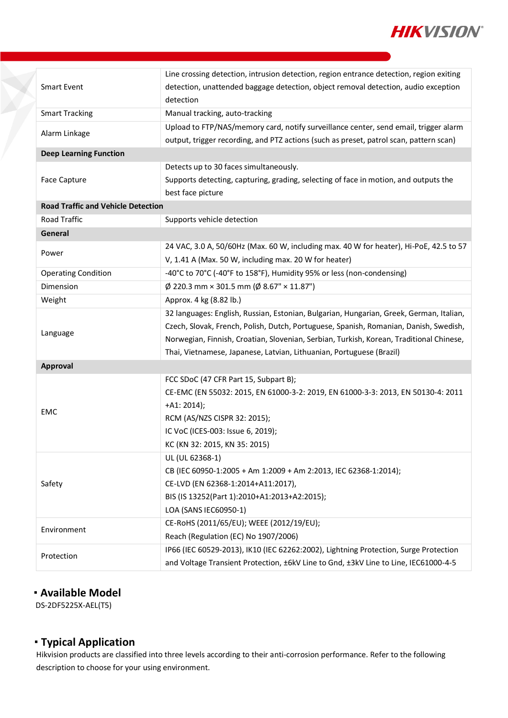

|                                           | Line crossing detection, intrusion detection, region entrance detection, region exiting |  |  |  |
|-------------------------------------------|-----------------------------------------------------------------------------------------|--|--|--|
| <b>Smart Event</b>                        | detection, unattended baggage detection, object removal detection, audio exception      |  |  |  |
|                                           | detection                                                                               |  |  |  |
| <b>Smart Tracking</b>                     | Manual tracking, auto-tracking                                                          |  |  |  |
|                                           | Upload to FTP/NAS/memory card, notify surveillance center, send email, trigger alarm    |  |  |  |
| Alarm Linkage                             | output, trigger recording, and PTZ actions (such as preset, patrol scan, pattern scan)  |  |  |  |
| <b>Deep Learning Function</b>             |                                                                                         |  |  |  |
|                                           | Detects up to 30 faces simultaneously.                                                  |  |  |  |
| Face Capture                              | Supports detecting, capturing, grading, selecting of face in motion, and outputs the    |  |  |  |
|                                           | best face picture                                                                       |  |  |  |
| <b>Road Traffic and Vehicle Detection</b> |                                                                                         |  |  |  |
| Road Traffic                              | Supports vehicle detection                                                              |  |  |  |
| General                                   |                                                                                         |  |  |  |
|                                           | 24 VAC, 3.0 A, 50/60Hz (Max. 60 W, including max. 40 W for heater), Hi-PoE, 42.5 to 57  |  |  |  |
| Power                                     | V, 1.41 A (Max. 50 W, including max. 20 W for heater)                                   |  |  |  |
| <b>Operating Condition</b>                | -40°C to 70°C (-40°F to 158°F), Humidity 95% or less (non-condensing)                   |  |  |  |
| Dimension                                 | $\phi$ 220.3 mm × 301.5 mm ( $\phi$ 8.67" × 11.87")                                     |  |  |  |
| Weight                                    | Approx. 4 kg (8.82 lb.)                                                                 |  |  |  |
|                                           | 32 languages: English, Russian, Estonian, Bulgarian, Hungarian, Greek, German, Italian, |  |  |  |
|                                           | Czech, Slovak, French, Polish, Dutch, Portuguese, Spanish, Romanian, Danish, Swedish,   |  |  |  |
| Language                                  | Norwegian, Finnish, Croatian, Slovenian, Serbian, Turkish, Korean, Traditional Chinese, |  |  |  |
|                                           | Thai, Vietnamese, Japanese, Latvian, Lithuanian, Portuguese (Brazil)                    |  |  |  |
| Approval                                  |                                                                                         |  |  |  |
|                                           | FCC SDoC (47 CFR Part 15, Subpart B);                                                   |  |  |  |
|                                           | CE-EMC (EN 55032: 2015, EN 61000-3-2: 2019, EN 61000-3-3: 2013, EN 50130-4: 2011        |  |  |  |
|                                           | $+A1: 2014$ ;                                                                           |  |  |  |
| EMC                                       | RCM (AS/NZS CISPR 32: 2015);                                                            |  |  |  |
|                                           | IC VoC (ICES-003: Issue 6, 2019);                                                       |  |  |  |
|                                           | KC (KN 32: 2015, KN 35: 2015)                                                           |  |  |  |
|                                           | UL (UL 62368-1)                                                                         |  |  |  |
|                                           | CB (IEC 60950-1:2005 + Am 1:2009 + Am 2:2013, IEC 62368-1:2014);                        |  |  |  |
| Safety                                    | CE-LVD (EN 62368-1:2014+A11:2017),                                                      |  |  |  |
|                                           | BIS (IS 13252(Part 1):2010+A1:2013+A2:2015);                                            |  |  |  |
|                                           | LOA (SANS IEC60950-1)                                                                   |  |  |  |
|                                           | CE-RoHS (2011/65/EU); WEEE (2012/19/EU);                                                |  |  |  |
| Environment                               | Reach (Regulation (EC) No 1907/2006)                                                    |  |  |  |
|                                           | IP66 (IEC 60529-2013), IK10 (IEC 62262:2002), Lightning Protection, Surge Protection    |  |  |  |
| Protection                                | and Voltage Transient Protection, ±6kV Line to Gnd, ±3kV Line to Line, IEC61000-4-5     |  |  |  |

#### **Available Model**

DS-2DF5225X-AEL(T5)

## **Typical Application**

Hikvision products are classified into three levels according to their anti-corrosion performance. Refer to the following description to choose for your using environment.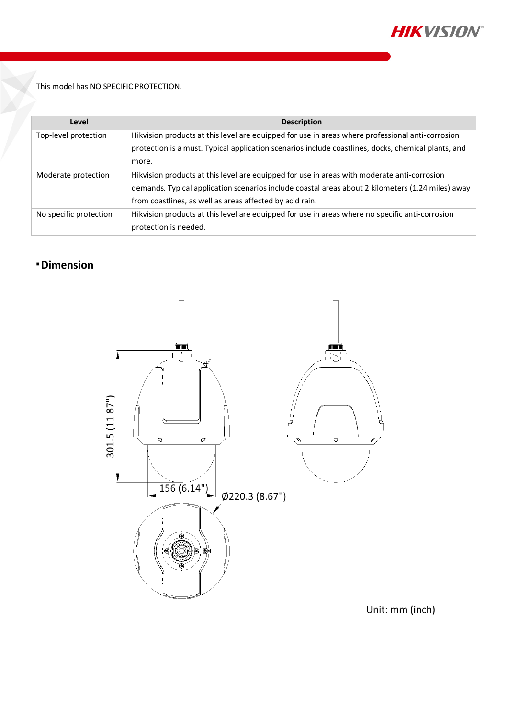

This model has NO SPECIFIC PROTECTION.

| Level                  | <b>Description</b>                                                                                  |
|------------------------|-----------------------------------------------------------------------------------------------------|
| Top-level protection   | Hikvision products at this level are equipped for use in areas where professional anti-corrosion    |
|                        | protection is a must. Typical application scenarios include coastlines, docks, chemical plants, and |
|                        | more.                                                                                               |
| Moderate protection    | Hikvision products at this level are equipped for use in areas with moderate anti-corrosion         |
|                        | demands. Typical application scenarios include coastal areas about 2 kilometers (1.24 miles) away   |
|                        | from coastlines, as well as areas affected by acid rain.                                            |
| No specific protection | Hikvision products at this level are equipped for use in areas where no specific anti-corrosion     |
|                        | protection is needed.                                                                               |

## **Dimension**



Unit: mm (inch)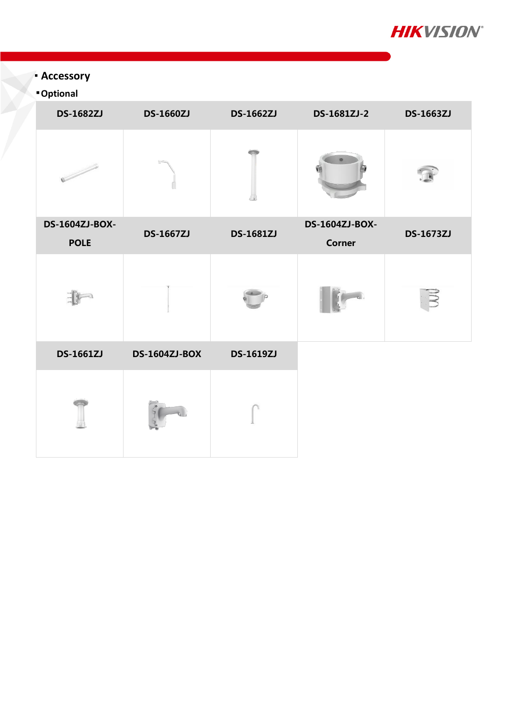

# **Accessory**

# **Optional**

| <b>DS-1682ZJ</b> | <b>DS-1660ZJ</b>     | <b>DS-1662ZJ</b> | DS-1681ZJ-2    | <b>DS-1663ZJ</b> |
|------------------|----------------------|------------------|----------------|------------------|
|                  |                      |                  |                |                  |
| DS-1604ZJ-BOX-   | <b>DS-1667ZJ</b>     | <b>DS-1681ZJ</b> | DS-1604ZJ-BOX- | <b>DS-1673ZJ</b> |
| <b>POLE</b>      |                      |                  | Corner         |                  |
|                  |                      |                  |                |                  |
| <b>DS-1661ZJ</b> | <b>DS-1604ZJ-BOX</b> | <b>DS-1619ZJ</b> |                |                  |
|                  |                      |                  |                |                  |